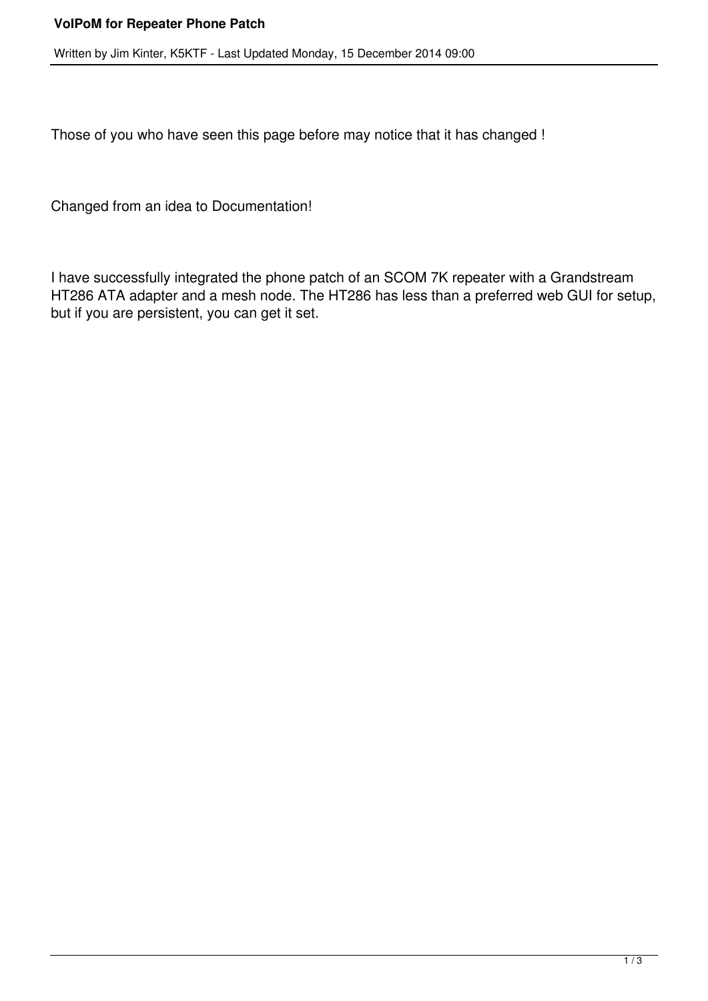Written by Jim Kinter, K5KTF - Last Updated Monday, 15 December 2014 09:00

Those of you who have seen this page before may notice that it has changed !

Changed from an idea to Documentation!

I have successfully integrated the phone patch of an SCOM 7K repeater with a Grandstream HT286 ATA adapter and a mesh node. The HT286 has less than a preferred web GUI for setup, but if you are persistent, you can get it set.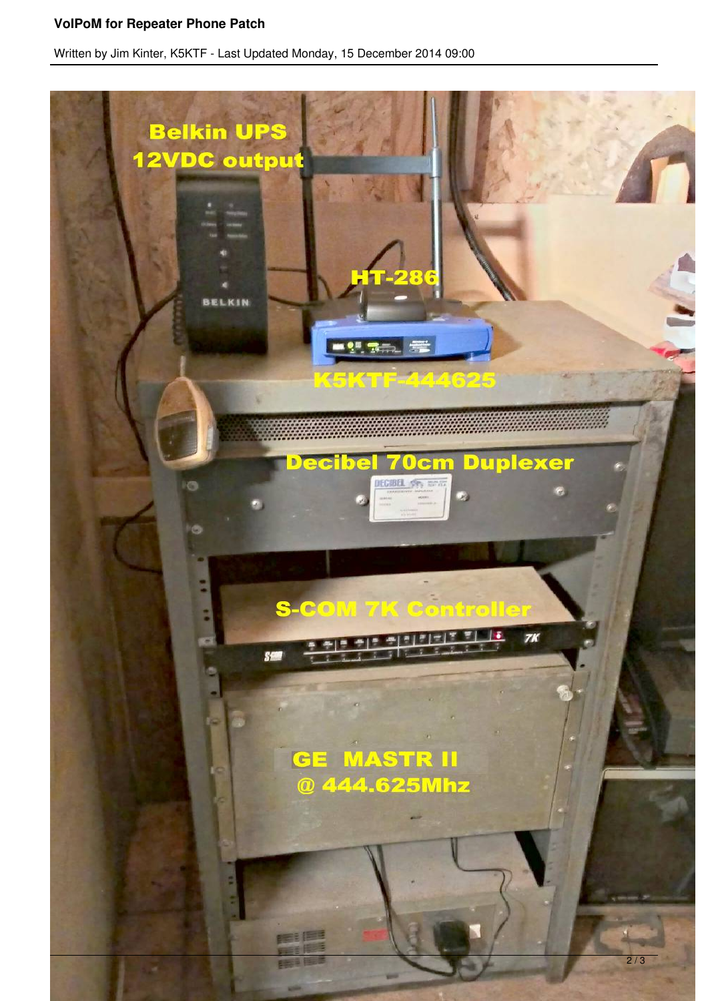## **VoIPoM for Repeater Phone Patch**

Written by Jim Kinter, K5KTF - Last Updated Monday, 15 December 2014 09:00